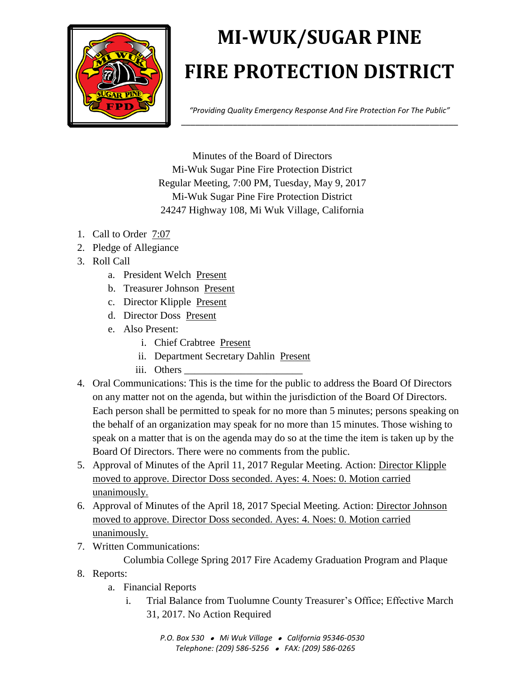

## **MI-WUK/SUGAR PINE FIRE PROTECTION DISTRICT**

*"Providing Quality Emergency Response And Fire Protection For The Public"* \_\_\_\_\_\_\_\_\_\_\_\_\_\_\_\_\_\_\_\_\_\_\_\_\_\_\_\_\_\_\_\_\_\_\_\_\_\_\_\_\_\_\_\_\_\_\_\_\_\_\_\_\_\_\_\_\_\_\_

Minutes of the Board of Directors Mi-Wuk Sugar Pine Fire Protection District Regular Meeting, 7:00 PM, Tuesday, May 9, 2017 Mi-Wuk Sugar Pine Fire Protection District 24247 Highway 108, Mi Wuk Village, California

- 1. Call to Order 7:07
- 2. Pledge of Allegiance
- 3. Roll Call
	- a. President Welch Present
	- b. Treasurer Johnson Present
	- c. Director Klipple Present
	- d. Director Doss Present
	- e. Also Present:
		- i. Chief Crabtree Present
		- ii. Department Secretary Dahlin Present
		- iii. Others
- 4. Oral Communications: This is the time for the public to address the Board Of Directors on any matter not on the agenda, but within the jurisdiction of the Board Of Directors. Each person shall be permitted to speak for no more than 5 minutes; persons speaking on the behalf of an organization may speak for no more than 15 minutes. Those wishing to speak on a matter that is on the agenda may do so at the time the item is taken up by the Board Of Directors. There were no comments from the public.
- 5. Approval of Minutes of the April 11, 2017 Regular Meeting. Action: Director Klipple moved to approve. Director Doss seconded. Ayes: 4. Noes: 0. Motion carried unanimously.
- 6. Approval of Minutes of the April 18, 2017 Special Meeting. Action: Director Johnson moved to approve. Director Doss seconded. Ayes: 4. Noes: 0. Motion carried unanimously.
- 7. Written Communications:

Columbia College Spring 2017 Fire Academy Graduation Program and Plaque

- 8. Reports:
	- a. Financial Reports
		- i. Trial Balance from Tuolumne County Treasurer's Office; Effective March 31, 2017. No Action Required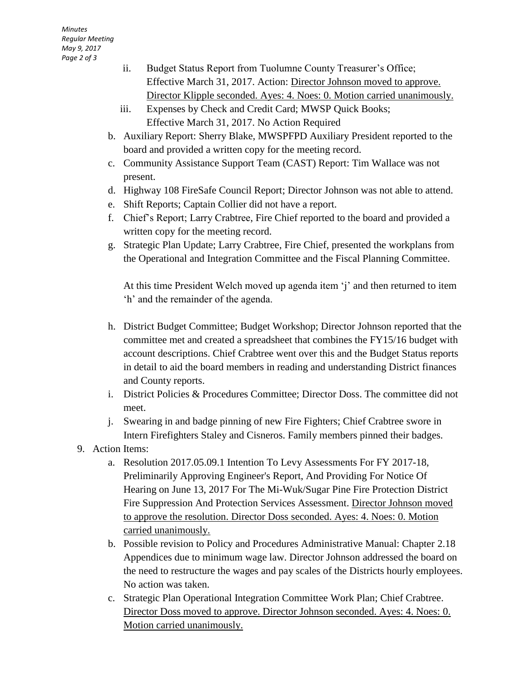- ii. Budget Status Report from Tuolumne County Treasurer's Office; Effective March 31, 2017. Action: Director Johnson moved to approve. Director Klipple seconded. Ayes: 4. Noes: 0. Motion carried unanimously.
- iii. Expenses by Check and Credit Card; MWSP Quick Books; Effective March 31, 2017. No Action Required
- b. Auxiliary Report: Sherry Blake, MWSPFPD Auxiliary President reported to the board and provided a written copy for the meeting record.
- c. Community Assistance Support Team (CAST) Report: Tim Wallace was not present.
- d. Highway 108 FireSafe Council Report; Director Johnson was not able to attend.
- e. Shift Reports; Captain Collier did not have a report.
- f. Chief's Report; Larry Crabtree, Fire Chief reported to the board and provided a written copy for the meeting record.
- g. Strategic Plan Update; Larry Crabtree, Fire Chief, presented the workplans from the Operational and Integration Committee and the Fiscal Planning Committee.

At this time President Welch moved up agenda item 'j' and then returned to item 'h' and the remainder of the agenda.

- h. District Budget Committee; Budget Workshop; Director Johnson reported that the committee met and created a spreadsheet that combines the FY15/16 budget with account descriptions. Chief Crabtree went over this and the Budget Status reports in detail to aid the board members in reading and understanding District finances and County reports.
- i. District Policies & Procedures Committee; Director Doss. The committee did not meet.
- j. Swearing in and badge pinning of new Fire Fighters; Chief Crabtree swore in Intern Firefighters Staley and Cisneros. Family members pinned their badges.
- 9. Action Items:
	- a. Resolution 2017.05.09.1 Intention To Levy Assessments For FY 2017-18, Preliminarily Approving Engineer's Report, And Providing For Notice Of Hearing on June 13, 2017 For The Mi-Wuk/Sugar Pine Fire Protection District Fire Suppression And Protection Services Assessment. Director Johnson moved to approve the resolution. Director Doss seconded. Ayes: 4. Noes: 0. Motion carried unanimously.
	- b. Possible revision to Policy and Procedures Administrative Manual: Chapter 2.18 Appendices due to minimum wage law. Director Johnson addressed the board on the need to restructure the wages and pay scales of the Districts hourly employees. No action was taken.
	- c. Strategic Plan Operational Integration Committee Work Plan; Chief Crabtree. Director Doss moved to approve. Director Johnson seconded. Ayes: 4. Noes: 0. Motion carried unanimously.